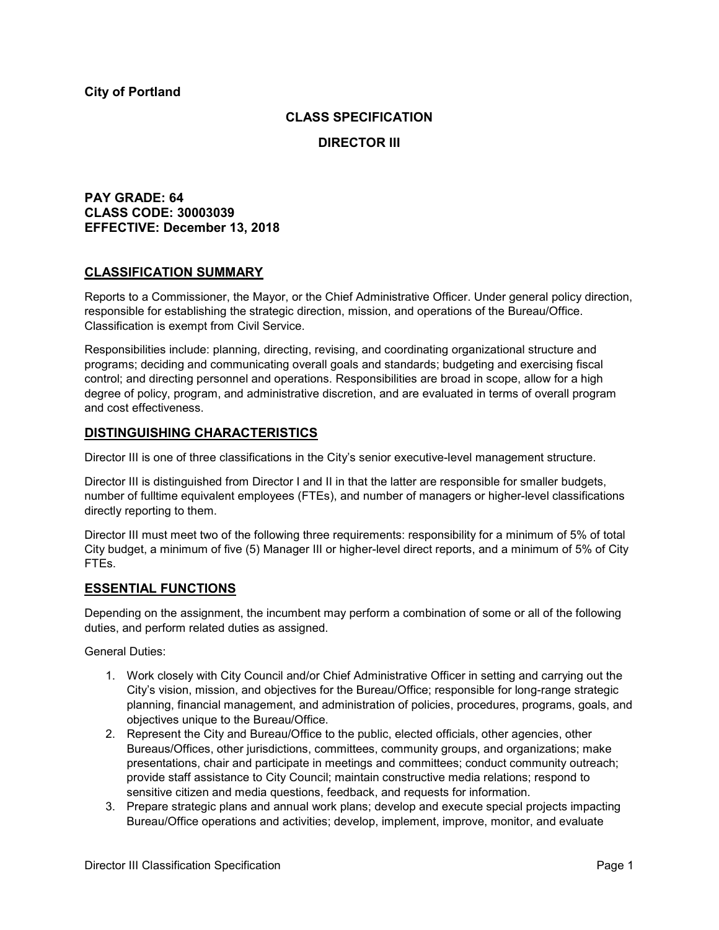## **CLASS SPECIFICATION**

**DIRECTOR III**

# **PAY GRADE: 64 CLASS CODE: 30003039 EFFECTIVE: December 13, 2018**

### **CLASSIFICATION SUMMARY**

Reports to a Commissioner, the Mayor, or the Chief Administrative Officer. Under general policy direction, responsible for establishing the strategic direction, mission, and operations of the Bureau/Office. Classification is exempt from Civil Service.

Responsibilities include: planning, directing, revising, and coordinating organizational structure and programs; deciding and communicating overall goals and standards; budgeting and exercising fiscal control; and directing personnel and operations. Responsibilities are broad in scope, allow for a high degree of policy, program, and administrative discretion, and are evaluated in terms of overall program and cost effectiveness.

### **DISTINGUISHING CHARACTERISTICS**

Director III is one of three classifications in the City's senior executive-level management structure.

Director III is distinguished from Director I and II in that the latter are responsible for smaller budgets, number of fulltime equivalent employees (FTEs), and number of managers or higher-level classifications directly reporting to them.

Director III must meet two of the following three requirements: responsibility for a minimum of 5% of total City budget, a minimum of five (5) Manager III or higher-level direct reports, and a minimum of 5% of City FTEs.

## **ESSENTIAL FUNCTIONS**

Depending on the assignment, the incumbent may perform a combination of some or all of the following duties, and perform related duties as assigned.

General Duties:

- 1. Work closely with City Council and/or Chief Administrative Officer in setting and carrying out the City's vision, mission, and objectives for the Bureau/Office; responsible for long-range strategic planning, financial management, and administration of policies, procedures, programs, goals, and objectives unique to the Bureau/Office.
- 2. Represent the City and Bureau/Office to the public, elected officials, other agencies, other Bureaus/Offices, other jurisdictions, committees, community groups, and organizations; make presentations, chair and participate in meetings and committees; conduct community outreach; provide staff assistance to City Council; maintain constructive media relations; respond to sensitive citizen and media questions, feedback, and requests for information.
- 3. Prepare strategic plans and annual work plans; develop and execute special projects impacting Bureau/Office operations and activities; develop, implement, improve, monitor, and evaluate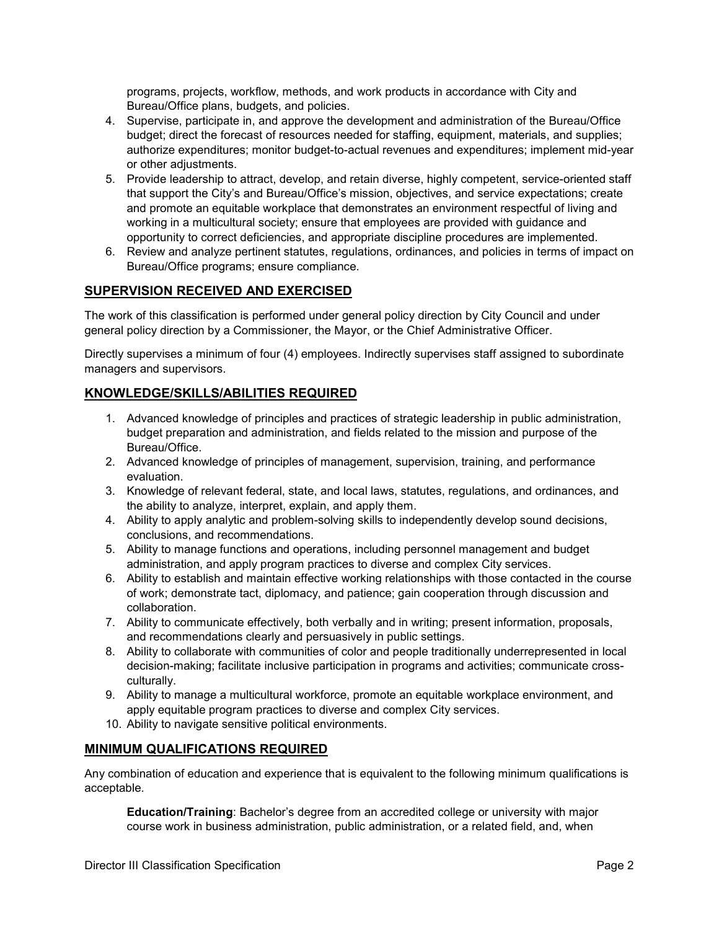programs, projects, workflow, methods, and work products in accordance with City and Bureau/Office plans, budgets, and policies.

- 4. Supervise, participate in, and approve the development and administration of the Bureau/Office budget; direct the forecast of resources needed for staffing, equipment, materials, and supplies; authorize expenditures; monitor budget-to-actual revenues and expenditures; implement mid-year or other adjustments.
- 5. Provide leadership to attract, develop, and retain diverse, highly competent, service-oriented staff that support the City's and Bureau/Office's mission, objectives, and service expectations; create and promote an equitable workplace that demonstrates an environment respectful of living and working in a multicultural society; ensure that employees are provided with guidance and opportunity to correct deficiencies, and appropriate discipline procedures are implemented.
- 6. Review and analyze pertinent statutes, regulations, ordinances, and policies in terms of impact on Bureau/Office programs; ensure compliance.

# **SUPERVISION RECEIVED AND EXERCISED**

The work of this classification is performed under general policy direction by City Council and under general policy direction by a Commissioner, the Mayor, or the Chief Administrative Officer.

Directly supervises a minimum of four (4) employees. Indirectly supervises staff assigned to subordinate managers and supervisors.

# **KNOWLEDGE/SKILLS/ABILITIES REQUIRED**

- 1. Advanced knowledge of principles and practices of strategic leadership in public administration, budget preparation and administration, and fields related to the mission and purpose of the Bureau/Office.
- 2. Advanced knowledge of principles of management, supervision, training, and performance evaluation.
- 3. Knowledge of relevant federal, state, and local laws, statutes, regulations, and ordinances, and the ability to analyze, interpret, explain, and apply them.
- 4. Ability to apply analytic and problem-solving skills to independently develop sound decisions, conclusions, and recommendations.
- 5. Ability to manage functions and operations, including personnel management and budget administration, and apply program practices to diverse and complex City services.
- 6. Ability to establish and maintain effective working relationships with those contacted in the course of work; demonstrate tact, diplomacy, and patience; gain cooperation through discussion and collaboration.
- 7. Ability to communicate effectively, both verbally and in writing; present information, proposals, and recommendations clearly and persuasively in public settings.
- 8. Ability to collaborate with communities of color and people traditionally underrepresented in local decision-making; facilitate inclusive participation in programs and activities; communicate crossculturally.
- 9. Ability to manage a multicultural workforce, promote an equitable workplace environment, and apply equitable program practices to diverse and complex City services.
- 10. Ability to navigate sensitive political environments.

## **MINIMUM QUALIFICATIONS REQUIRED**

Any combination of education and experience that is equivalent to the following minimum qualifications is acceptable.

**Education/Training**: Bachelor's degree from an accredited college or university with major course work in business administration, public administration, or a related field, and, when